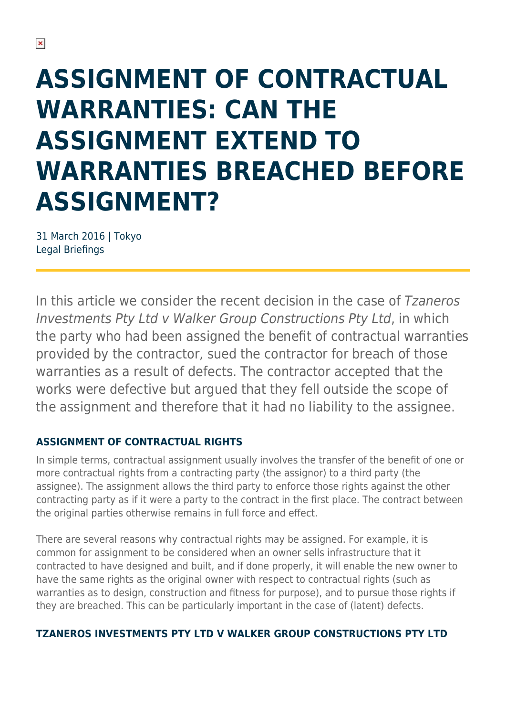# **ASSIGNMENT OF CONTRACTUAL WARRANTIES: CAN THE ASSIGNMENT EXTEND TO WARRANTIES BREACHED BEFORE ASSIGNMENT?**

31 March 2016 | Tokyo Legal Briefings

In this article we consider the recent decision in the case of Tzaneros Investments Pty Ltd v Walker Group Constructions Pty Ltd, in which the party who had been assigned the benefit of contractual warranties provided by the contractor, sued the contractor for breach of those warranties as a result of defects. The contractor accepted that the works were defective but argued that they fell outside the scope of the assignment and therefore that it had no liability to the assignee.

#### **ASSIGNMENT OF CONTRACTUAL RIGHTS**

In simple terms, contractual assignment usually involves the transfer of the benefit of one or more contractual rights from a contracting party (the assignor) to a third party (the assignee). The assignment allows the third party to enforce those rights against the other contracting party as if it were a party to the contract in the first place. The contract between the original parties otherwise remains in full force and effect.

There are several reasons why contractual rights may be assigned. For example, it is common for assignment to be considered when an owner sells infrastructure that it contracted to have designed and built, and if done properly, it will enable the new owner to have the same rights as the original owner with respect to contractual rights (such as warranties as to design, construction and fitness for purpose), and to pursue those rights if they are breached. This can be particularly important in the case of (latent) defects.

#### **TZANEROS INVESTMENTS PTY LTD V WALKER GROUP CONSTRUCTIONS PTY LTD**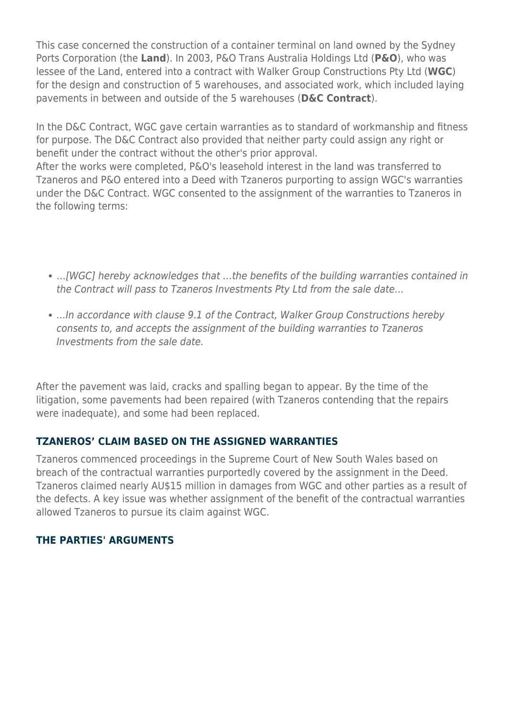This case concerned the construction of a container terminal on land owned by the Sydney Ports Corporation (the **Land**). In 2003, P&O Trans Australia Holdings Ltd (**P&O**), who was lessee of the Land, entered into a contract with Walker Group Constructions Pty Ltd (**WGC**) for the design and construction of 5 warehouses, and associated work, which included laying pavements in between and outside of the 5 warehouses (**D&C Contract**).

In the D&C Contract, WGC gave certain warranties as to standard of workmanship and fitness for purpose. The D&C Contract also provided that neither party could assign any right or benefit under the contract without the other's prior approval.

After the works were completed, P&O's leasehold interest in the land was transferred to Tzaneros and P&O entered into a Deed with Tzaneros purporting to assign WGC's warranties under the D&C Contract. WGC consented to the assignment of the warranties to Tzaneros in the following terms:

- …[WGC] hereby acknowledges that …the benefits of the building warranties contained in the Contract will pass to Tzaneros Investments Pty Ltd from the sale date…
- …In accordance with clause 9.1 of the Contract, Walker Group Constructions hereby consents to, and accepts the assignment of the building warranties to Tzaneros Investments from the sale date.

After the pavement was laid, cracks and spalling began to appear. By the time of the litigation, some pavements had been repaired (with Tzaneros contending that the repairs were inadequate), and some had been replaced.

#### **TZANEROS' CLAIM BASED ON THE ASSIGNED WARRANTIES**

Tzaneros commenced proceedings in the Supreme Court of New South Wales based on breach of the contractual warranties purportedly covered by the assignment in the Deed. Tzaneros claimed nearly AU\$15 million in damages from WGC and other parties as a result of the defects. A key issue was whether assignment of the benefit of the contractual warranties allowed Tzaneros to pursue its claim against WGC.

#### **THE PARTIES' ARGUMENTS**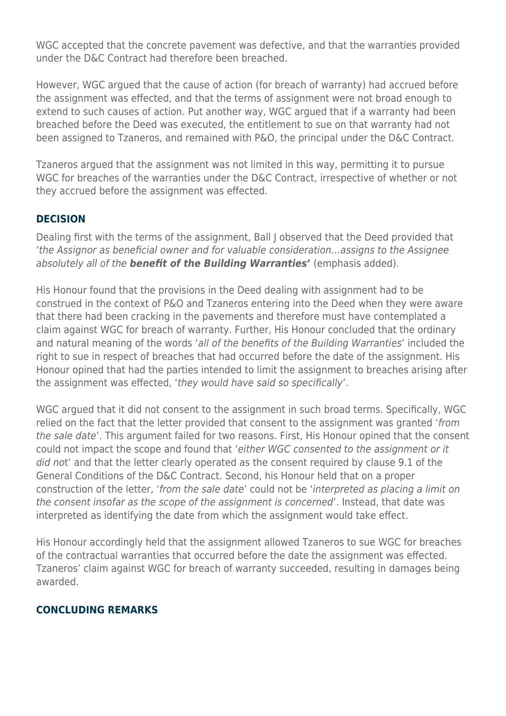WGC accepted that the concrete pavement was defective, and that the warranties provided under the D&C Contract had therefore been breached.

However, WGC argued that the cause of action (for breach of warranty) had accrued before the assignment was effected, and that the terms of assignment were not broad enough to extend to such causes of action. Put another way, WGC argued that if a warranty had been breached before the Deed was executed, the entitlement to sue on that warranty had not been assigned to Tzaneros, and remained with P&O, the principal under the D&C Contract.

Tzaneros argued that the assignment was not limited in this way, permitting it to pursue WGC for breaches of the warranties under the D&C Contract, irrespective of whether or not they accrued before the assignment was effected.

#### **DECISION**

Dealing first with the terms of the assignment, Ball J observed that the Deed provided that 'the Assignor as beneficial owner and for valuable consideration…assigns to the Assignee absolutely all of the *benefit of the Building Warranties***'** (emphasis added).

His Honour found that the provisions in the Deed dealing with assignment had to be construed in the context of P&O and Tzaneros entering into the Deed when they were aware that there had been cracking in the pavements and therefore must have contemplated a claim against WGC for breach of warranty. Further, His Honour concluded that the ordinary and natural meaning of the words 'all of the benefits of the Building Warranties' included the right to sue in respect of breaches that had occurred before the date of the assignment. His Honour opined that had the parties intended to limit the assignment to breaches arising after the assignment was effected, 'they would have said so specifically'.

WGC argued that it did not consent to the assignment in such broad terms. Specifically, WGC relied on the fact that the letter provided that consent to the assignment was granted 'from the sale date'. This argument failed for two reasons. First, His Honour opined that the consent could not impact the scope and found that 'either WGC consented to the assignment or it did not' and that the letter clearly operated as the consent required by clause 9.1 of the General Conditions of the D&C Contract. Second, his Honour held that on a proper construction of the letter, 'from the sale date' could not be 'interpreted as placing a limit on the consent insofar as the scope of the assignment is concerned'. Instead, that date was interpreted as identifying the date from which the assignment would take effect.

His Honour accordingly held that the assignment allowed Tzaneros to sue WGC for breaches of the contractual warranties that occurred before the date the assignment was effected. Tzaneros' claim against WGC for breach of warranty succeeded, resulting in damages being awarded.

#### **CONCLUDING REMARKS**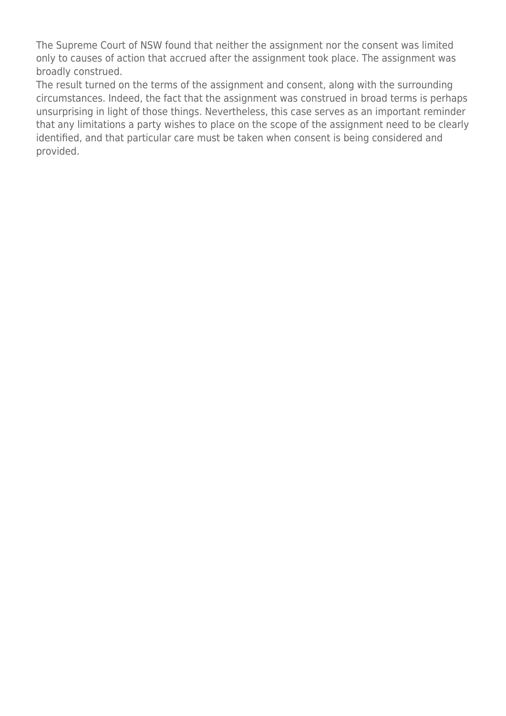The Supreme Court of NSW found that neither the assignment nor the consent was limited only to causes of action that accrued after the assignment took place. The assignment was broadly construed.

The result turned on the terms of the assignment and consent, along with the surrounding circumstances. Indeed, the fact that the assignment was construed in broad terms is perhaps unsurprising in light of those things. Nevertheless, this case serves as an important reminder that any limitations a party wishes to place on the scope of the assignment need to be clearly identified, and that particular care must be taken when consent is being considered and provided.